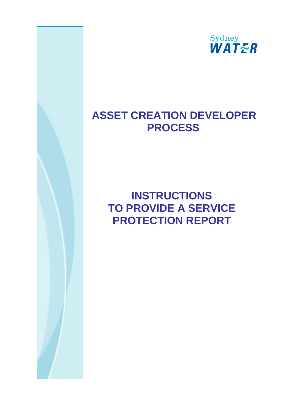

## **ASSET CREATION DEVELOPER PROCESS**

## **INSTRUCTIONS TO PROVIDE A SERVICE PROTECTION REPORT**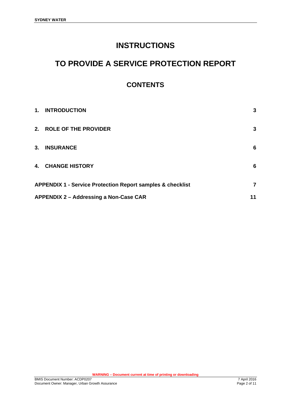### **INSTRUCTIONS**

### **TO PROVIDE A SERVICE PROTECTION REPORT**

### **CONTENTS**

| 1. | <b>INTRODUCTION</b>                                                   | 3              |  |
|----|-----------------------------------------------------------------------|----------------|--|
|    | 2. ROLE OF THE PROVIDER                                               | 3              |  |
| 3. | <b>INSURANCE</b>                                                      | 6              |  |
|    | 4. CHANGE HISTORY                                                     | 6              |  |
|    | <b>APPENDIX 1 - Service Protection Report samples &amp; checklist</b> | $\overline{7}$ |  |
|    | APPENDIX 2 - Addressing a Non-Case CAR<br>11                          |                |  |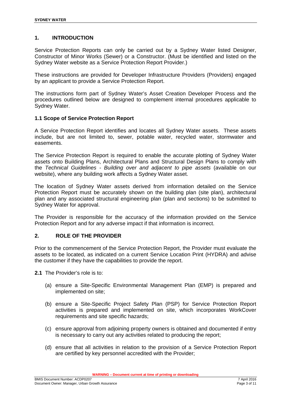#### **1. INTRODUCTION**

Service Protection Reports can only be carried out by a Sydney Water listed Designer, Constructor of Minor Works (Sewer) or a Constructor. (Must be identified and listed on the Sydney Water website as a Service Protection Report Provider.)

These instructions are provided for Developer Infrastructure Providers (Providers) engaged by an applicant to provide a Service Protection Report.

The instructions form part of Sydney Water's Asset Creation Developer Process and the procedures outlined below are designed to complement internal procedures applicable to Sydney Water.

#### **1.1 Scope of Service Protection Report**

A Service Protection Report identifies and locates all Sydney Water assets. These assets include, but are not limited to, sewer, potable water, recycled water, stormwater and easements.

The Service Protection Report is required to enable the accurate plotting of Sydney Water assets onto Building Plans, Architectural Plans and Structural Design Plans to comply with the *Technical Guidelines - Building over and adjacent to pipe assets* (available on our website), where any building work affects a Sydney Water asset.

The location of Sydney Water assets derived from information detailed on the Service Protection Report must be accurately shown on the building plan (site plan), architectural plan and any associated structural engineering plan (plan and sections) to be submitted to Sydney Water for approval.

The Provider is responsible for the accuracy of the information provided on the Service Protection Report and for any adverse impact if that information is incorrect.

#### **2. ROLE OF THE PROVIDER**

Prior to the commencement of the Service Protection Report, the Provider must evaluate the assets to be located, as indicated on a current Service Location Print (HYDRA) and advise the customer if they have the capabilities to provide the report.

**2.1** The Provider's role is to:

- (a) ensure a Site-Specific Environmental Management Plan (EMP) is prepared and implemented on site;
- (b) ensure a Site-Specific Project Safety Plan (PSP) for Service Protection Report activities is prepared and implemented on site, which incorporates WorkCover requirements and site specific hazards;
- (c) ensure approval from adjoining property owners is obtained and documented if entry is necessary to carry out any activities related to producing the report;
- (d) ensure that all activities in relation to the provision of a Service Protection Report are certified by key personnel accredited with the Provider;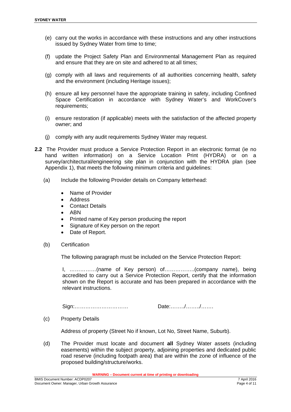- (e) carry out the works in accordance with these instructions and any other instructions issued by Sydney Water from time to time;
- (f) update the Project Safety Plan and Environmental Management Plan as required and ensure that they are on site and adhered to at all times;
- (g) comply with all laws and requirements of all authorities concerning health, safety and the environment (including Heritage issues);
- (h) ensure all key personnel have the appropriate training in safety, including Confined Space Certification in accordance with Sydney Water's and WorkCover's requirements;
- (i) ensure restoration (if applicable) meets with the satisfaction of the affected property owner; and
- (j) comply with any audit requirements Sydney Water may request.
- **2.2** The Provider must produce a Service Protection Report in an electronic format (ie no hand written information) on a Service Location Print (HYDRA) or on a survey/architectural/engineering site plan in conjunction with the HYDRA plan (see Appendix 1), that meets the following minimum criteria and guidelines:
	- (a) Include the following Provider details on Company letterhead:
		- Name of Provider
		- Address
		- Contact Details
		- $\bullet$  ABN
		- Printed name of Key person producing the report
		- Signature of Key person on the report
		- Date of Report.
	- (b) Certification

The following paragraph must be included on the Service Protection Report:

I, ……………(name of Key person) of……………..(company name), being accredited to carry out a Service Protection Report, certify that the information shown on the Report is accurate and has been prepared in accordance with the relevant instructions.

Sign:………………………… Date:……../……../…….

(c) Property Details

Address of property (Street No if known, Lot No, Street Name, Suburb).

(d) The Provider must locate and document **all** Sydney Water assets (including easements) within the subject property, adjoining properties and dedicated public road reserve (including footpath area) that are within the zone of influence of the proposed building/structure/works.

**WARNING – Document current at time of printing or downloading**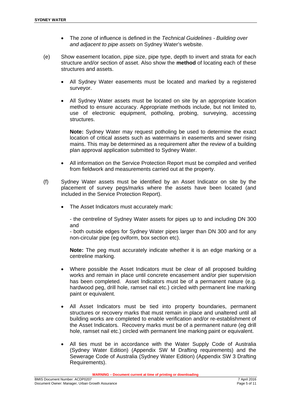- The zone of influence is defined in the *Technical Guidelines Building over and adjacent to pipe assets* on Sydney Water's website.
- (e) Show easement location, pipe size, pipe type, depth to invert and strata for each structure and/or section of asset. Also show the **method** of locating each of these structures and assets.
	- All Sydney Water easements must be located and marked by a registered surveyor.
	- All Sydney Water assets must be located on site by an appropriate location method to ensure accuracy. Appropriate methods include, but not limited to, use of electronic equipment, potholing, probing, surveying, accessing structures.

**Note:** Sydney Water may request potholing be used to determine the exact location of critical assets such as watermains in easements and sewer rising mains. This may be determined as a requirement after the review of a building plan approval application submitted to Sydney Water.

- All information on the Service Protection Report must be compiled and verified from fieldwork and measurements carried out at the property.
- (f) Sydney Water assets must be identified by an Asset Indicator on site by the placement of survey pegs/marks where the assets have been located (and included in the Service Protection Report).
	- The Asset Indicators must accurately mark:

- the centreline of Sydney Water assets for pipes up to and including DN 300 and

- both outside edges for Sydney Water pipes larger than DN 300 and for any non-circular pipe (eg oviform, box section etc).

**Note:** The peg must accurately indicate whether it is an edge marking or a centreline marking.

- Where possible the Asset Indicators must be clear of all proposed building works and remain in place until concrete encasement and/or pier supervision has been completed. Asset Indicators must be of a permanent nature (e.g. hardwood peg, drill hole, ramset nail etc.) circled with permanent line marking paint or equivalent.
- All Asset Indicators must be tied into property boundaries, permanent structures or recovery marks that must remain in place and unaltered until all building works are completed to enable verification and/or re-establishment of the Asset Indicators. Recovery marks must be of a permanent nature (eg drill hole, ramset nail etc.) circled with permanent line marking paint or equivalent.
- All ties must be in accordance with the Water Supply Code of Australia (Sydney Water Edition) (Appendix SW M Drafting requirements) and the Sewerage Code of Australia (Sydney Water Edition) (Appendix SW 3 Drafting Requirements).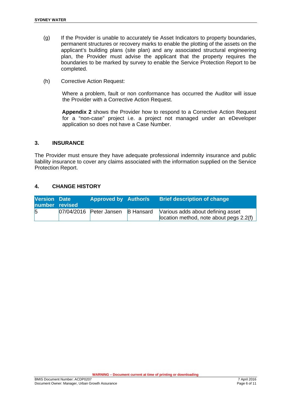- (g) If the Provider is unable to accurately tie Asset Indicators to property boundaries, permanent structures or recovery marks to enable the plotting of the assets on the applicant's building plans (site plan) and any associated structural engineering plan, the Provider must advise the applicant that the property requires the boundaries to be marked by survey to enable the Service Protection Report to be completed.
- (h) Corrective Action Request:

Where a problem, fault or non conformance has occurred the Auditor will issue the Provider with a Corrective Action Request.

**Appendix 2** shows the Provider how to respond to a Corrective Action Request for a "non-case" project i.e. a project not managed under an eDeveloper application so does not have a Case Number.

#### **3. INSURANCE**

The Provider must ensure they have adequate professional indemnity insurance and public liability insurance to cover any claims associated with the information supplied on the Service Protection Report.

#### **4. CHANGE HISTORY**

| <b>Version Date</b><br>number revised | <b>Approved by Author/s</b> |                  | <b>Brief description of change</b>                                             |
|---------------------------------------|-----------------------------|------------------|--------------------------------------------------------------------------------|
| $\overline{5}$                        | $07/04/2016$ Peter Jansen   | <b>B</b> Hansard | Various adds about defining asset<br>location method, note about pegs $2.2(f)$ |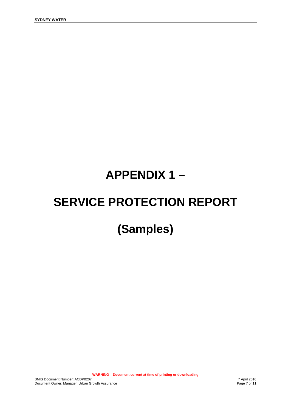## **APPENDIX 1 –**

# **SERVICE PROTECTION REPORT**

## **(Samples)**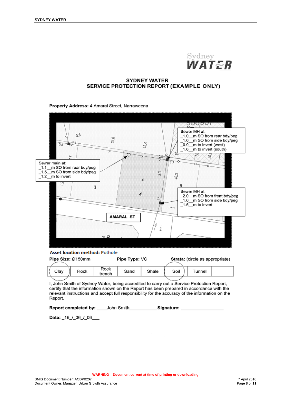

#### **SYDNEY WATER** SERVICE PROTECTION REPORT (EXAMPLE ONLY)

Property Address: 4 Amaral Street, Narraweena

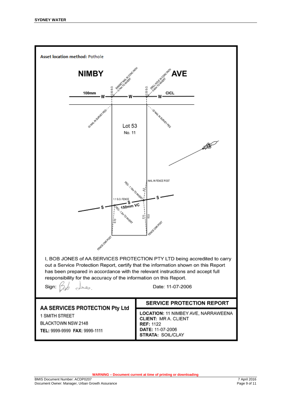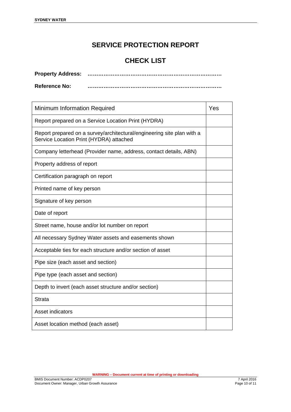### **SERVICE PROTECTION REPORT**

### **CHECK LIST**

| <b>Property Address:</b> |  |
|--------------------------|--|
| <b>Reference No:</b>     |  |

| Minimum Information Required                                                                                      |  |  |
|-------------------------------------------------------------------------------------------------------------------|--|--|
| Report prepared on a Service Location Print (HYDRA)                                                               |  |  |
| Report prepared on a survey/architectural/engineering site plan with a<br>Service Location Print (HYDRA) attached |  |  |
| Company letterhead (Provider name, address, contact details, ABN)                                                 |  |  |
| Property address of report                                                                                        |  |  |
| Certification paragraph on report                                                                                 |  |  |
| Printed name of key person                                                                                        |  |  |
| Signature of key person                                                                                           |  |  |
| Date of report                                                                                                    |  |  |
| Street name, house and/or lot number on report                                                                    |  |  |
| All necessary Sydney Water assets and easements shown                                                             |  |  |
| Acceptable ties for each structure and/or section of asset                                                        |  |  |
| Pipe size (each asset and section)                                                                                |  |  |
| Pipe type (each asset and section)                                                                                |  |  |
| Depth to invert (each asset structure and/or section)                                                             |  |  |
| <b>Strata</b>                                                                                                     |  |  |
| Asset indicators                                                                                                  |  |  |
| Asset location method (each asset)                                                                                |  |  |